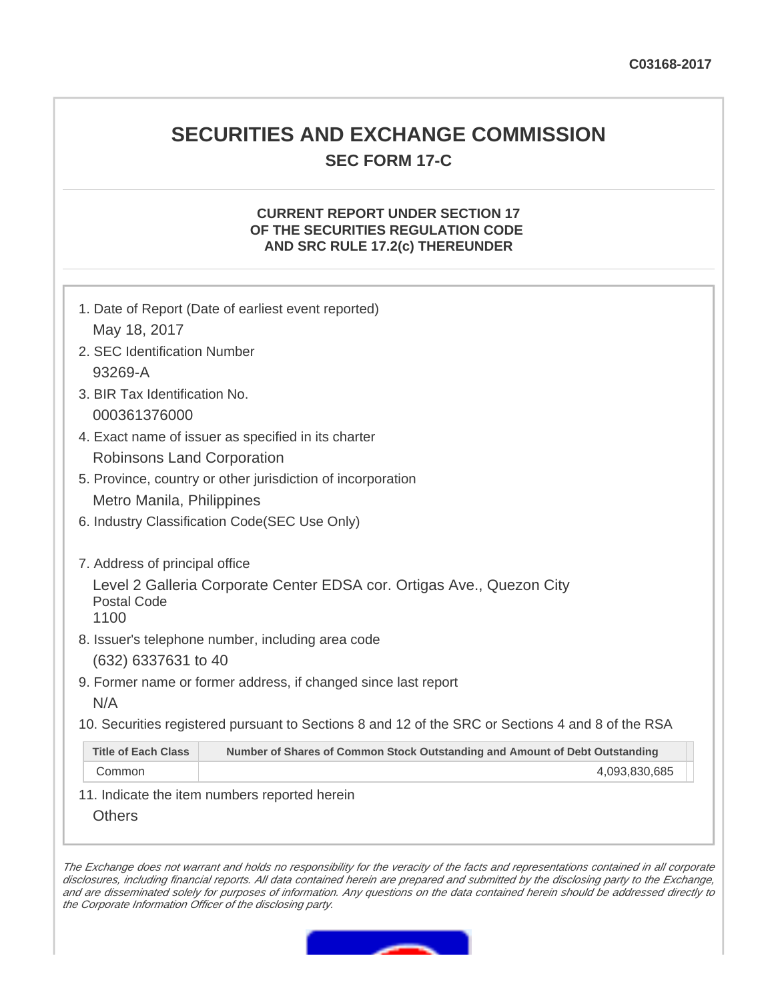# **SECURITIES AND EXCHANGE COMMISSION SEC FORM 17-C**

## **CURRENT REPORT UNDER SECTION 17 OF THE SECURITIES REGULATION CODE AND SRC RULE 17.2(c) THEREUNDER**

| 1. Date of Report (Date of earliest event reported) |                                                                                                   |  |  |  |  |
|-----------------------------------------------------|---------------------------------------------------------------------------------------------------|--|--|--|--|
| May 18, 2017                                        |                                                                                                   |  |  |  |  |
| 2. SEC Identification Number                        |                                                                                                   |  |  |  |  |
| 93269-A                                             |                                                                                                   |  |  |  |  |
| 3. BIR Tax Identification No.                       |                                                                                                   |  |  |  |  |
| 000361376000                                        |                                                                                                   |  |  |  |  |
|                                                     | 4. Exact name of issuer as specified in its charter                                               |  |  |  |  |
| Robinsons Land Corporation                          |                                                                                                   |  |  |  |  |
|                                                     | 5. Province, country or other jurisdiction of incorporation                                       |  |  |  |  |
| Metro Manila, Philippines                           |                                                                                                   |  |  |  |  |
|                                                     | 6. Industry Classification Code(SEC Use Only)                                                     |  |  |  |  |
|                                                     |                                                                                                   |  |  |  |  |
| 7. Address of principal office                      |                                                                                                   |  |  |  |  |
|                                                     | Level 2 Galleria Corporate Center EDSA cor. Ortigas Ave., Quezon City                             |  |  |  |  |
| <b>Postal Code</b><br>1100                          |                                                                                                   |  |  |  |  |
|                                                     | 8. Issuer's telephone number, including area code                                                 |  |  |  |  |
| (632) 6337631 to 40                                 |                                                                                                   |  |  |  |  |
|                                                     | 9. Former name or former address, if changed since last report                                    |  |  |  |  |
| N/A                                                 |                                                                                                   |  |  |  |  |
|                                                     | 10. Securities registered pursuant to Sections 8 and 12 of the SRC or Sections 4 and 8 of the RSA |  |  |  |  |
|                                                     |                                                                                                   |  |  |  |  |
| <b>Title of Each Class</b>                          | Number of Shares of Common Stock Outstanding and Amount of Debt Outstanding                       |  |  |  |  |
| Common                                              | 4,093,830,685                                                                                     |  |  |  |  |

11. Indicate the item numbers reported herein

**Others** 

The Exchange does not warrant and holds no responsibility for the veracity of the facts and representations contained in all corporate disclosures, including financial reports. All data contained herein are prepared and submitted by the disclosing party to the Exchange, and are disseminated solely for purposes of information. Any questions on the data contained herein should be addressed directly to the Corporate Information Officer of the disclosing party.